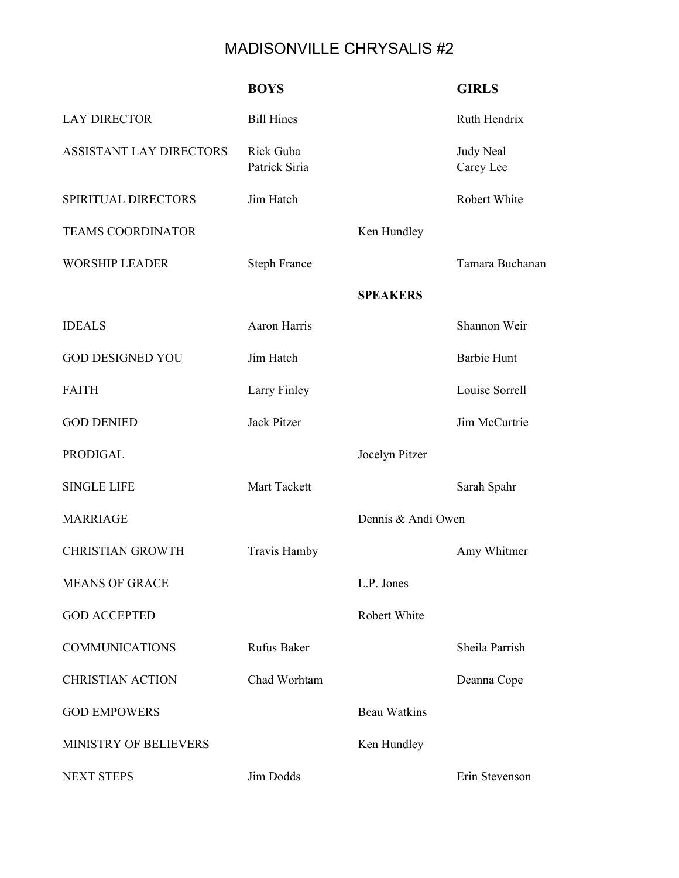## MADISONVILLE CHRYSALIS #2

|                          | <b>BOYS</b>                |                     | <b>GIRLS</b>           |
|--------------------------|----------------------------|---------------------|------------------------|
| <b>LAY DIRECTOR</b>      | <b>Bill Hines</b>          |                     | Ruth Hendrix           |
| ASSISTANT LAY DIRECTORS  | Rick Guba<br>Patrick Siria |                     | Judy Neal<br>Carey Lee |
| SPIRITUAL DIRECTORS      | Jim Hatch                  |                     | Robert White           |
| <b>TEAMS COORDINATOR</b> |                            | Ken Hundley         |                        |
| <b>WORSHIP LEADER</b>    | <b>Steph France</b>        |                     | Tamara Buchanan        |
|                          |                            | <b>SPEAKERS</b>     |                        |
| <b>IDEALS</b>            | <b>Aaron Harris</b>        |                     | Shannon Weir           |
| <b>GOD DESIGNED YOU</b>  | Jim Hatch                  |                     | <b>Barbie Hunt</b>     |
| <b>FAITH</b>             | Larry Finley               |                     | Louise Sorrell         |
| <b>GOD DENIED</b>        | <b>Jack Pitzer</b>         |                     | Jim McCurtrie          |
| <b>PRODIGAL</b>          |                            | Jocelyn Pitzer      |                        |
| <b>SINGLE LIFE</b>       | Mart Tackett               |                     | Sarah Spahr            |
| <b>MARRIAGE</b>          |                            | Dennis & Andi Owen  |                        |
| <b>CHRISTIAN GROWTH</b>  | Travis Hamby               |                     | Amy Whitmer            |
| <b>MEANS OF GRACE</b>    |                            | L.P. Jones          |                        |
| <b>GOD ACCEPTED</b>      |                            | Robert White        |                        |
| <b>COMMUNICATIONS</b>    | Rufus Baker                |                     | Sheila Parrish         |
| <b>CHRISTIAN ACTION</b>  | Chad Worhtam               |                     | Deanna Cope            |
| <b>GOD EMPOWERS</b>      |                            | <b>Beau Watkins</b> |                        |
| MINISTRY OF BELIEVERS    |                            | Ken Hundley         |                        |
| <b>NEXT STEPS</b>        | Jim Dodds                  |                     | Erin Stevenson         |